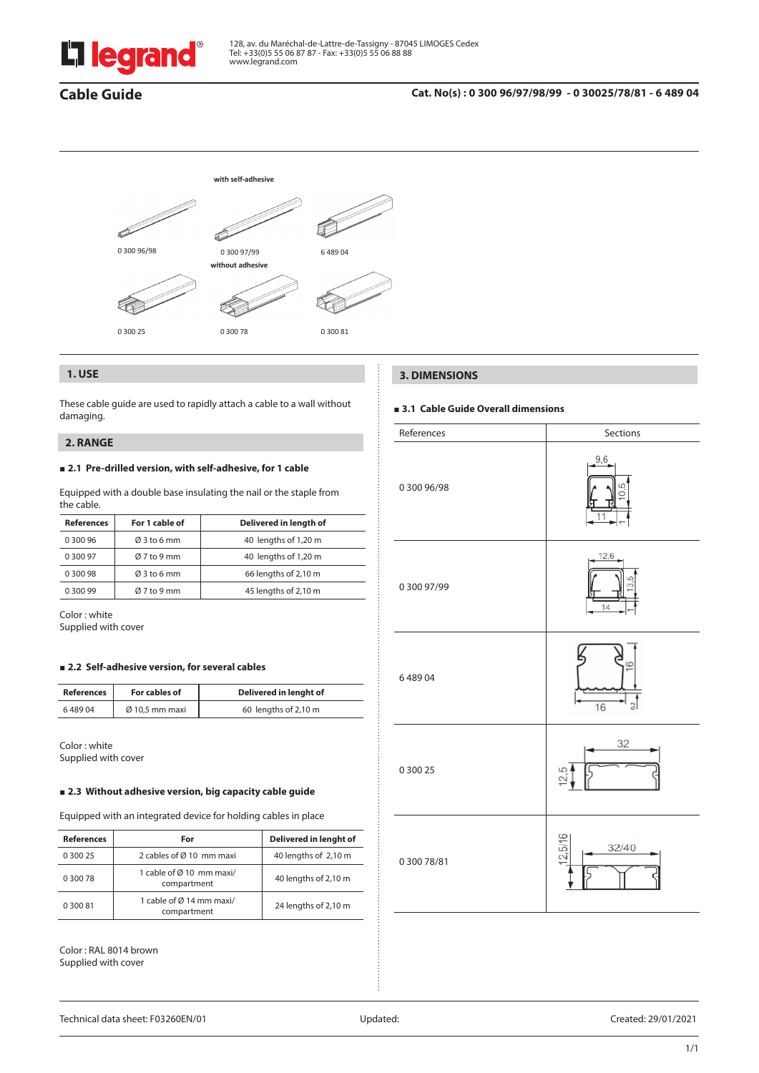

# **Cable Guide**

# **Cat. No(s) : 0 300 96/97/98/99 - 0 30025/78/81 - 6 489 04**



# **1. USE**

These cable guide are used to rapidly attach a cable to a wall without damaging.

# **2. RANGE**

# **2.1 Pre-drilled version, with self-adhesive, for 1 cable**

Equipped with a double base insulating the nail or the staple from the cable.

| <b>References</b> | For 1 cable of          | Delivered in length of |  |
|-------------------|-------------------------|------------------------|--|
| 0 300 96          | $\varnothing$ 3 to 6 mm | 40 lengths of 1,20 m   |  |
| 0 300 97          | $Ø7$ to 9 mm            | 40 lengths of 1,20 m   |  |
| 0 300 98          | $\varnothing$ 3 to 6 mm | 66 lengths of 2,10 m   |  |
| 0 300 99          | $Ø7$ to 9 mm            | 45 lengths of 2,10 m   |  |

Color : white Supplied with cover

#### **2.2 Self-adhesive version, for several cables**

| <b>References</b> | For cables of              | Delivered in lenght of |
|-------------------|----------------------------|------------------------|
| 648904            | $\varnothing$ 10,5 mm maxi | 60 lengths of 2,10 m   |

Color : white Supplied with cover

# **2.3 Without adhesive version, big capacity cable guide**

Equipped with an integrated device for holding cables in place

| <b>References</b> | For                                     | Delivered in lenght of |
|-------------------|-----------------------------------------|------------------------|
| 0 300 25          | 2 cables of Ø 10 mm maxi                | 40 lengths of 2,10 m   |
| 0 300 78          | 1 cable of Ø 10 mm maxi/<br>compartment | 40 lengths of 2,10 m   |
| 0 300 81          | 1 cable of Ø 14 mm maxi/<br>compartment | 24 lengths of 2,10 m   |

Color : RAL 8014 brown Supplied with cover

# **3. DIMENSIONS**

# **3.1 Cable Guide Overall dimensions**

| References  | Sections               |  |
|-------------|------------------------|--|
| 0 300 96/98 | 9,6<br>٦               |  |
| 0 300 97/99 | 12,6<br>3.5<br>14      |  |
| 648904      | $\overline{16}$<br>0.2 |  |
| 0 300 25    | 32<br>12,5             |  |
| 0 300 78/81 | 5/16<br>32/40          |  |